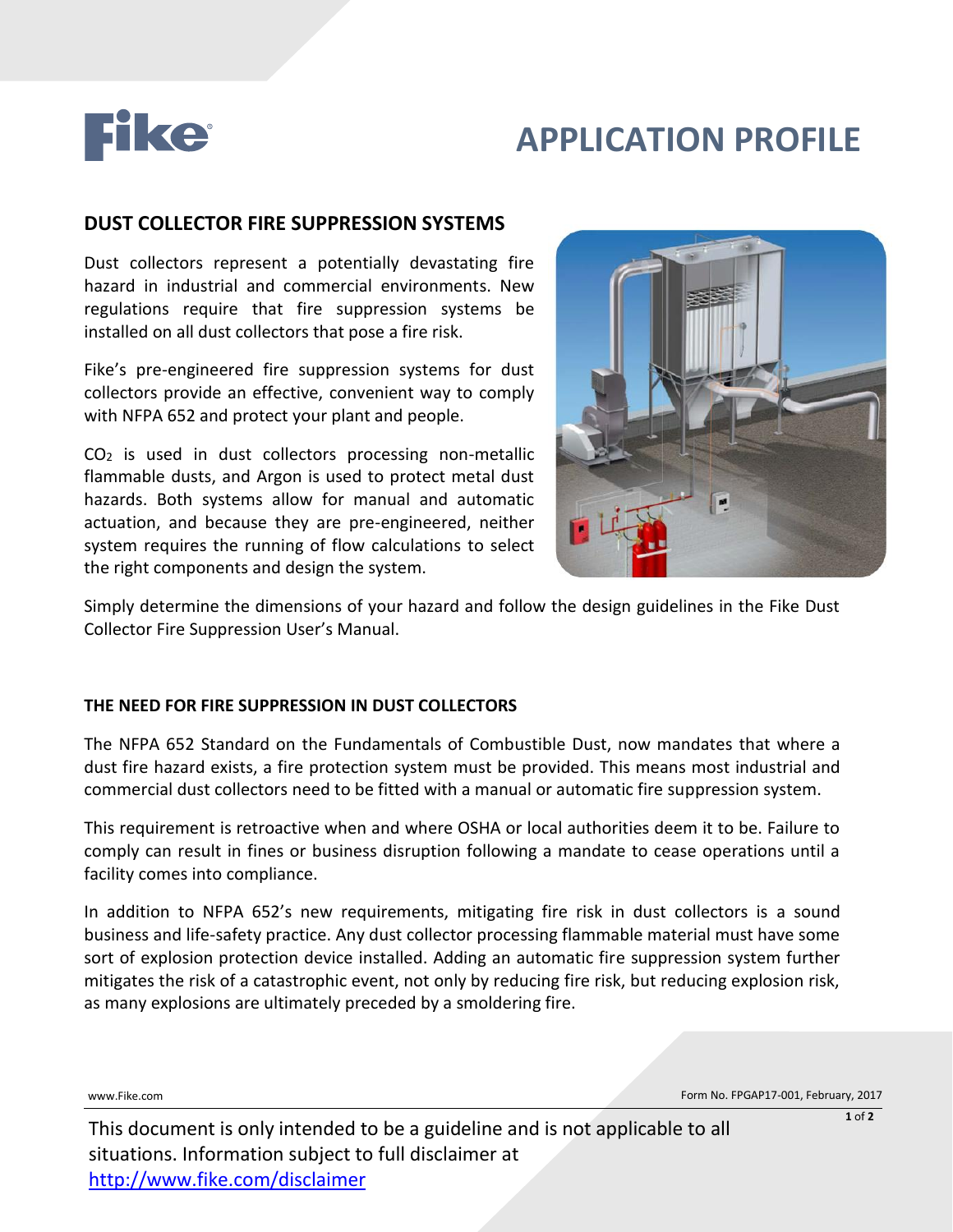

# **APPLICATION PROFILE**

# **DUST COLLECTOR FIRE SUPPRESSION SYSTEMS**

Dust collectors represent a potentially devastating fire hazard in industrial and commercial environments. New regulations require that fire suppression systems be installed on all dust collectors that pose a fire risk.

Fike's pre-engineered fire suppression systems for dust collectors provide an effective, convenient way to comply with NFPA 652 and protect your plant and people.

CO<sup>2</sup> is used in dust collectors processing non-metallic flammable dusts, and Argon is used to protect metal dust hazards. Both systems allow for manual and automatic actuation, and because they are pre-engineered, neither system requires the running of flow calculations to select the right components and design the system.



Simply determine the dimensions of your hazard and follow the design guidelines in the Fike Dust Collector Fire Suppression User's Manual.

## **THE NEED FOR FIRE SUPPRESSION IN DUST COLLECTORS**

The NFPA 652 Standard on the Fundamentals of Combustible Dust, now mandates that where a dust fire hazard exists, a fire protection system must be provided. This means most industrial and commercial dust collectors need to be fitted with a manual or automatic fire suppression system.

This requirement is retroactive when and where OSHA or local authorities deem it to be. Failure to comply can result in fines or business disruption following a mandate to cease operations until a facility comes into compliance.

In addition to NFPA 652's new requirements, mitigating fire risk in dust collectors is a sound business and life-safety practice. Any dust collector processing flammable material must have some sort of explosion protection device installed. Adding an automatic fire suppression system further mitigates the risk of a catastrophic event, not only by reducing fire risk, but reducing explosion risk, as many explosions are ultimately preceded by a smoldering fire.

www.Fike.com **Form No. FPGAP17-001, February, 2017 Form No. FPGAP17-001, February, 2017**